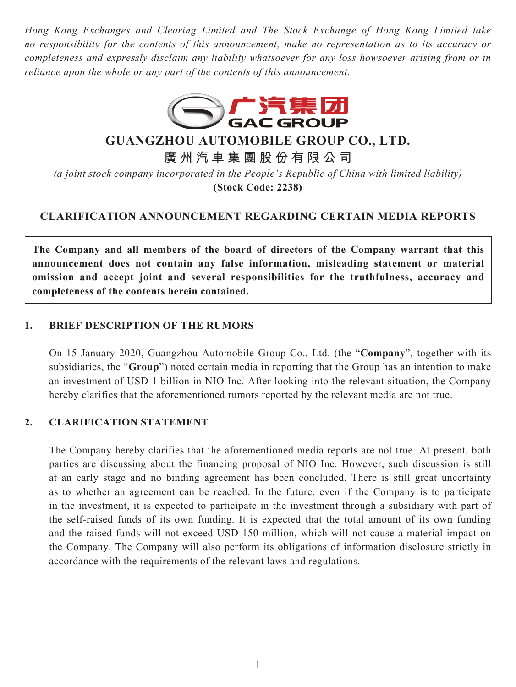*Hong Kong Exchanges and Clearing Limited and The Stock Exchange of Hong Kong Limited take no responsibility for the contents of this announcement, make no representation as to its accuracy or completeness and expressly disclaim any liability whatsoever for any loss howsoever arising from or in reliance upon the whole or any part of the contents of this announcement.*



## **GUANGZHOU AUTOMOBILE GROUP CO., LTD.**

**廣州汽車集團股份有限公司**

*(a joint stock company incorporated in the People's Republic of China with limited liability)* **(Stock Code: 2238)**

## **CLARIFICATION ANNOUNCEMENT REGARDING CERTAIN MEDIA REPORTS**

**The Company and all members of the board of directors of the Company warrant that this announcement does not contain any false information, misleading statement or material omission and accept joint and several responsibilities for the truthfulness, accuracy and completeness of the contents herein contained.**

## **1. BRIEF DESCRIPTION OF THE RUMORS**

On 15 January 2020, Guangzhou Automobile Group Co., Ltd. (the "**Company**", together with its subsidiaries, the "**Group**") noted certain media in reporting that the Group has an intention to make an investment of USD 1 billion in NIO Inc. After looking into the relevant situation, the Company hereby clarifies that the aforementioned rumors reported by the relevant media are not true.

## **2. CLARIFICATION STATEMENT**

The Company hereby clarifies that the aforementioned media reports are not true. At present, both parties are discussing about the financing proposal of NIO Inc. However, such discussion is still at an early stage and no binding agreement has been concluded. There is still great uncertainty as to whether an agreement can be reached. In the future, even if the Company is to participate in the investment, it is expected to participate in the investment through a subsidiary with part of the self-raised funds of its own funding. It is expected that the total amount of its own funding and the raised funds will not exceed USD 150 million, which will not cause a material impact on the Company. The Company will also perform its obligations of information disclosure strictly in accordance with the requirements of the relevant laws and regulations.